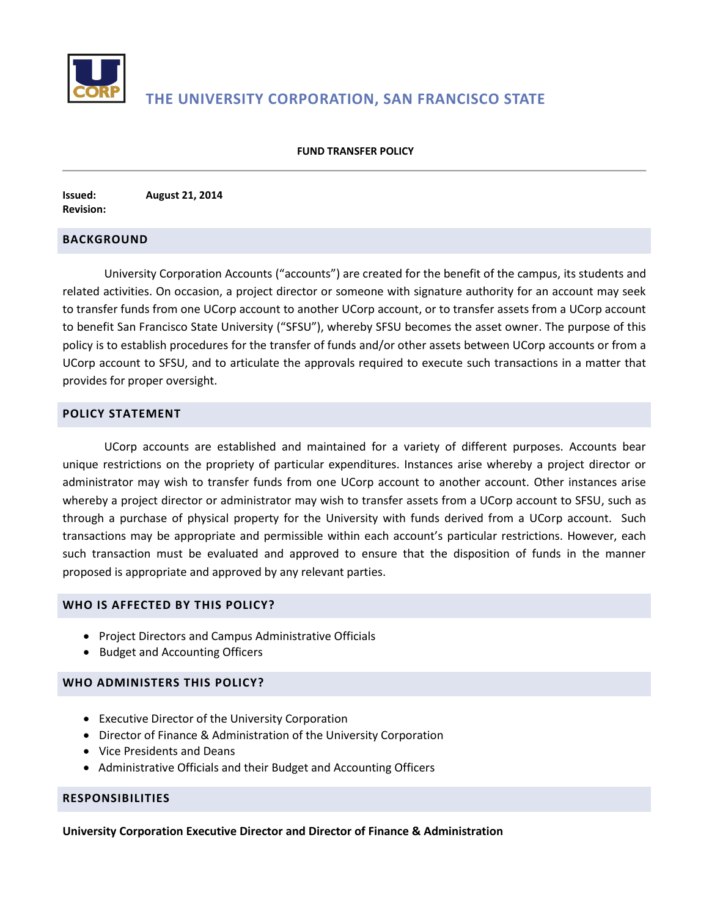

# **THE UNIVERSITY CORPORATION, SAN FRANCISCO STATE**

#### **FUND TRANSFER POLICY**

**Issued: August 21, 2014 Revision:** 

## **BACKGROUND**

University Corporation Accounts ("accounts") are created for the benefit of the campus, its students and related activities. On occasion, a project director or someone with signature authority for an account may seek to transfer funds from one UCorp account to another UCorp account, or to transfer assets from a UCorp account to benefit San Francisco State University ("SFSU"), whereby SFSU becomes the asset owner. The purpose of this policy is to establish procedures for the transfer of funds and/or other assets between UCorp accounts or from a UCorp account to SFSU, and to articulate the approvals required to execute such transactions in a matter that provides for proper oversight.

# **POLICY STATEMENT**

UCorp accounts are established and maintained for a variety of different purposes. Accounts bear unique restrictions on the propriety of particular expenditures. Instances arise whereby a project director or administrator may wish to transfer funds from one UCorp account to another account. Other instances arise whereby a project director or administrator may wish to transfer assets from a UCorp account to SFSU, such as through a purchase of physical property for the University with funds derived from a UCorp account. Such transactions may be appropriate and permissible within each account's particular restrictions. However, each such transaction must be evaluated and approved to ensure that the disposition of funds in the manner proposed is appropriate and approved by any relevant parties.

#### **WHO IS AFFECTED BY THIS POLICY?**

- Project Directors and Campus Administrative Officials
- Budget and Accounting Officers

## **WHO ADMINISTERS THIS POLICY?**

- Executive Director of the University Corporation
- Director of Finance & Administration of the University Corporation
- Vice Presidents and Deans
- Administrative Officials and their Budget and Accounting Officers

#### **RESPONSIBILITIES**

**University Corporation Executive Director and Director of Finance & Administration**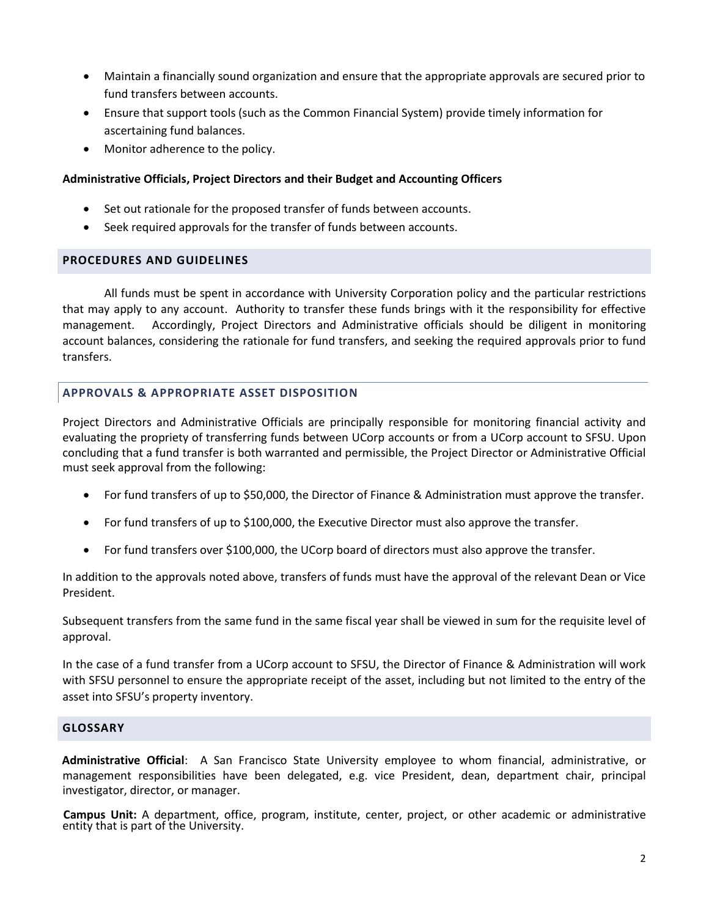- Maintain a financially sound organization and ensure that the appropriate approvals are secured prior to fund transfers between accounts.
- Ensure that support tools (such as the Common Financial System) provide timely information for ascertaining fund balances.
- Monitor adherence to the policy.

# **Administrative Officials, Project Directors and their Budget and Accounting Officers**

- Set out rationale for the proposed transfer of funds between accounts.
- Seek required approvals for the transfer of funds between accounts.

## **PROCEDURES AND GUIDELINES**

All funds must be spent in accordance with University Corporation policy and the particular restrictions that may apply to any account. Authority to transfer these funds brings with it the responsibility for effective management. Accordingly, Project Directors and Administrative officials should be diligent in monitoring account balances, considering the rationale for fund transfers, and seeking the required approvals prior to fund transfers.

# **APPROVALS & APPROPRIATE ASSET DISPOSITION**

Project Directors and Administrative Officials are principally responsible for monitoring financial activity and evaluating the propriety of transferring funds between UCorp accounts or from a UCorp account to SFSU. Upon concluding that a fund transfer is both warranted and permissible, the Project Director or Administrative Official must seek approval from the following:

- For fund transfers of up to \$50,000, the Director of Finance & Administration must approve the transfer.
- For fund transfers of up to \$100,000, the Executive Director must also approve the transfer.
- For fund transfers over \$100,000, the UCorp board of directors must also approve the transfer.

In addition to the approvals noted above, transfers of funds must have the approval of the relevant Dean or Vice President.

Subsequent transfers from the same fund in the same fiscal year shall be viewed in sum for the requisite level of approval.

In the case of a fund transfer from a UCorp account to SFSU, the Director of Finance & Administration will work with SFSU personnel to ensure the appropriate receipt of the asset, including but not limited to the entry of the asset into SFSU's property inventory.

# **GLOSSARY**

**Administrative Official**: A San Francisco State University employee to whom financial, administrative, or management responsibilities have been delegated, e.g. vice President, dean, department chair, principal investigator, director, or manager.

**Campus Unit:** A department, office, program, institute, center, project, or other academic or administrative entity that is part of the University.